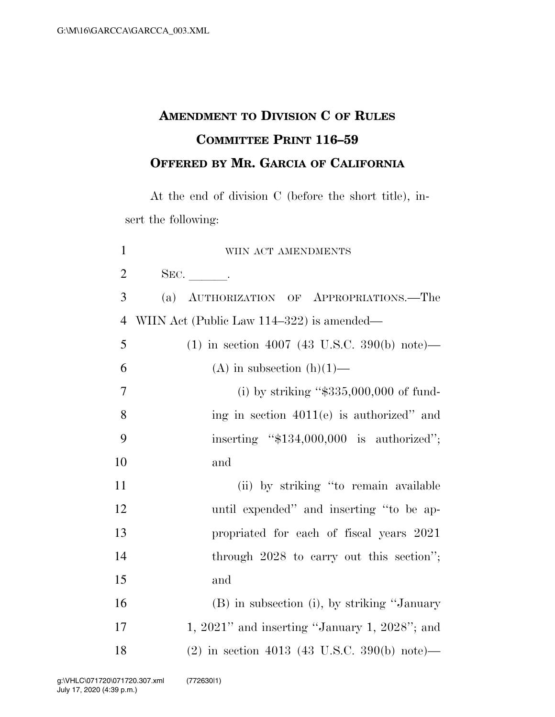## **AMENDMENT TO DIVISION C OF RULES COMMITTEE PRINT 116–59 OFFERED BY MR. GARCIA OF CALIFORNIA**

At the end of division C (before the short title), insert the following:

| $\mathbf{1}$   | WIIN ACT AMENDMENTS                                 |
|----------------|-----------------------------------------------------|
| $\overline{2}$ | SEC.                                                |
| 3              | (a) AUTHORIZATION OF APPROPRIATIONS.-The            |
| $\overline{4}$ | WIIN Act (Public Law 114–322) is amended—           |
| 5              | $(1)$ in section 4007 (43 U.S.C. 390(b) note)—      |
| 6              | (A) in subsection $(h)(1)$ —                        |
| $\overline{7}$ | (i) by striking " $$335,000,000$ of fund-           |
| 8              | ing in section $4011(e)$ is authorized" and         |
| 9              | inserting "\$134,000,000 is authorized";            |
| 10             | and                                                 |
| 11             | (ii) by striking "to remain available               |
| 12             | until expended" and inserting "to be ap-            |
| 13             | propriated for each of fiscal years 2021            |
| 14             | through $2028$ to carry out this section";          |
| 15             | and                                                 |
| 16             | (B) in subsection (i), by striking "January         |
| 17             | 1, $2021$ " and inserting "January 1, $2028$ "; and |
| 18             | (2) in section 4013 (43 U.S.C. 390(b) note)—        |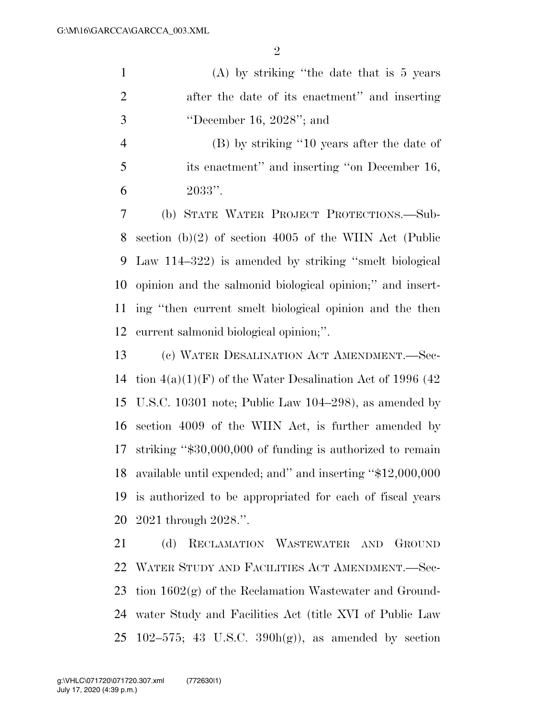|               | (A) by striking "the date that is $5$ years    |
|---------------|------------------------------------------------|
| $\mathcal{D}$ | after the date of its enactment" and inserting |
| -3            | "December 16, $2028$ "; and                    |

 (B) by striking ''10 years after the date of its enactment'' and inserting ''on December 16, 2033''.

 (b) STATE WATER PROJECT PROTECTIONS.—Sub- section (b)(2) of section 4005 of the WIIN Act (Public Law 114–322) is amended by striking ''smelt biological opinion and the salmonid biological opinion;'' and insert- ing ''then current smelt biological opinion and the then current salmonid biological opinion;''.

 (c) WATER DESALINATION ACT AMENDMENT.—Sec-14 tion  $4(a)(1)(F)$  of the Water Desalination Act of 1996 (42) U.S.C. 10301 note; Public Law 104–298), as amended by section 4009 of the WIIN Act, is further amended by striking ''\$30,000,000 of funding is authorized to remain available until expended; and'' and inserting ''\$12,000,000 is authorized to be appropriated for each of fiscal years 2021 through 2028.''.

 (d) RECLAMATION WASTEWATER AND GROUND WATER STUDY AND FACILITIES ACT AMENDMENT.—Sec- tion 1602(g) of the Reclamation Wastewater and Ground- water Study and Facilities Act (title XVI of Public Law 25 102–575; 43 U.S.C.  $390h(g)$ , as amended by section